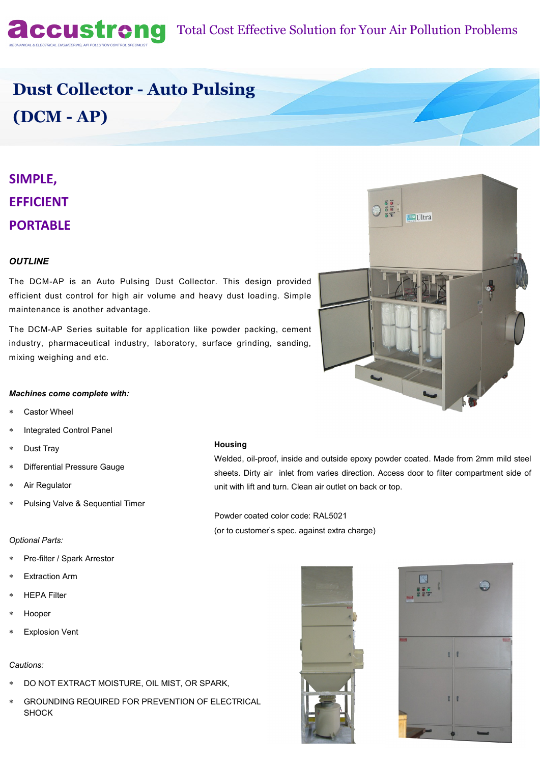

## **ACCUSTION** Total Cost Effective Solution for Your Air Pollution Problems

# **Dust Collector - Auto Pulsing (DCM - AP)**

## **SIMPLE, EFFICIENT PORTABLE**

### *OUTLINE*

The DCM-AP is an Auto Pulsing Dust Collector. This design provided efficient dust control for high air volume and heavy dust loading. Simple maintenance is another advantage.

The DCM-AP Series suitable for application like powder packing, cement industry, pharmaceutical industry, laboratory, surface grinding, sanding, mixing weighing and etc.



#### *Machines come complete with:*

- Castor Wheel
- Integrated Control Panel
- Dust Tray
- Differential Pressure Gauge
- Air Regulator
- Pulsing Valve & Sequential Timer

#### *Optional Parts:*

- Pre-filter / Spark Arrestor
- Extraction Arm
- HEPA Filter
- Hooper
- Explosion Vent

#### *Cautions:*

- DO NOT EXTRACT MOISTURE, OIL MIST, OR SPARK,
- GROUNDING REQUIRED FOR PREVENTION OF ELECTRICAL SHOCK

#### **Housing**

Welded, oil-proof, inside and outside epoxy powder coated. Made from 2mm mild steel sheets. Dirty air inlet from varies direction. Access door to filter compartment side of unit with lift and turn. Clean air outlet on back or top.

Powder coated color code: RAL5021 (or to customer's spec. against extra charge)



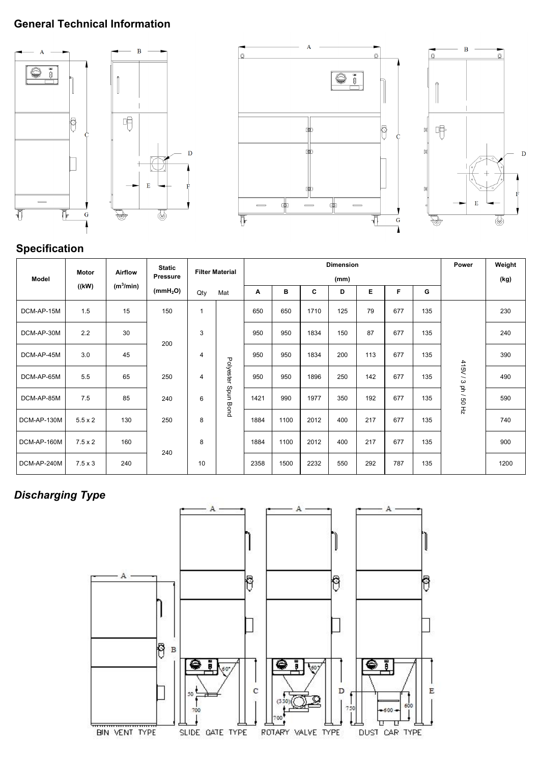### **General Technical Information**









### **Specification**

|             | <b>Motor</b>   | <b>Airflow</b> | <b>Static</b><br><b>Pressure</b> | <b>Filter Material</b> |              | <b>Dimension</b> |      |      |     |     |     |     | Power               | Weight |
|-------------|----------------|----------------|----------------------------------|------------------------|--------------|------------------|------|------|-----|-----|-----|-----|---------------------|--------|
| Model       |                |                |                                  |                        |              | (mm)             |      |      |     |     |     |     |                     | (kg)   |
|             | ((kW)          | $(m^3/min)$    | (mmH <sub>2</sub> O)             | Qty                    | Mat          | A                | в    | C    | D   | Е   | F   | G   |                     |        |
| DCM-AP-15M  | 1.5            | 15             | 150                              | 1                      |              | 650              | 650  | 1710 | 125 | 79  | 677 | 135 |                     | 230    |
| DCM-AP-30M  | 2.2            | 30             | 200                              | 3                      |              | 950              | 950  | 1834 | 150 | 87  | 677 | 135 |                     | 240    |
| DCM-AP-45M  | 3.0            | 45             |                                  | 4                      |              | 950              | 950  | 1834 | 200 | 113 | 677 | 135 |                     | 390    |
| DCM-AP-65M  | 5.5            | 65             | 250                              | 4                      | Polyester    | 950              | 950  | 1896 | 250 | 142 | 677 | 135 | 415V / 3 ph / 50 Hz | 490    |
| DCM-AP-85M  | 7.5            | 85             | 240                              | 6                      | unds<br>Bond | 1421             | 990  | 1977 | 350 | 192 | 677 | 135 |                     | 590    |
| DCM-AP-130M | $5.5 \times 2$ | 130            | 250                              | 8                      |              | 1884             | 1100 | 2012 | 400 | 217 | 677 | 135 |                     | 740    |
| DCM-AP-160M | $7.5 \times 2$ | 160            | 240                              | 8                      |              | 1884             | 1100 | 2012 | 400 | 217 | 677 | 135 |                     | 900    |
| DCM-AP-240M | $7.5 \times 3$ | 240            |                                  | 10                     |              | 2358             | 1500 | 2232 | 550 | 292 | 787 | 135 |                     | 1200   |

### *Discharging Type*